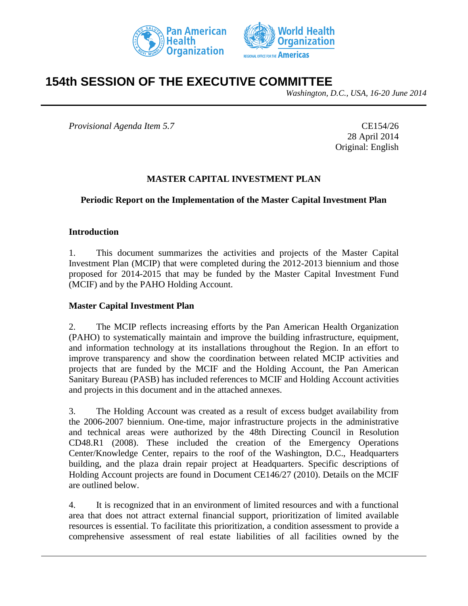



# **154th SESSION OF THE EXECUTIVE COMMITTEE**

*Washington, D.C., USA, 16-20 June 2014*

*Provisional Agenda Item 5.7* CE154/26

28 April 2014 Original: English

#### **MASTER CAPITAL INVESTMENT PLAN**

#### **Periodic Report on the Implementation of the Master Capital Investment Plan**

#### **Introduction**

1. This document summarizes the activities and projects of the Master Capital Investment Plan (MCIP) that were completed during the 2012-2013 biennium and those proposed for 2014-2015 that may be funded by the Master Capital Investment Fund (MCIF) and by the PAHO Holding Account.

#### **Master Capital Investment Plan**

2. The MCIP reflects increasing efforts by the Pan American Health Organization (PAHO) to systematically maintain and improve the building infrastructure, equipment, and information technology at its installations throughout the Region. In an effort to improve transparency and show the coordination between related MCIP activities and projects that are funded by the MCIF and the Holding Account, the Pan American Sanitary Bureau (PASB) has included references to MCIF and Holding Account activities and projects in this document and in the attached annexes.

3. The Holding Account was created as a result of excess budget availability from the 2006-2007 biennium. One-time, major infrastructure projects in the administrative and technical areas were authorized by the 48th Directing Council in Resolution CD48.R1 (2008). These included the creation of the Emergency Operations Center/Knowledge Center, repairs to the roof of the Washington, D.C., Headquarters building, and the plaza drain repair project at Headquarters. Specific descriptions of Holding Account projects are found in Document CE146/27 (2010). Details on the MCIF are outlined below.

4. It is recognized that in an environment of limited resources and with a functional area that does not attract external financial support, prioritization of limited available resources is essential. To facilitate this prioritization, a condition assessment to provide a comprehensive assessment of real estate liabilities of all facilities owned by the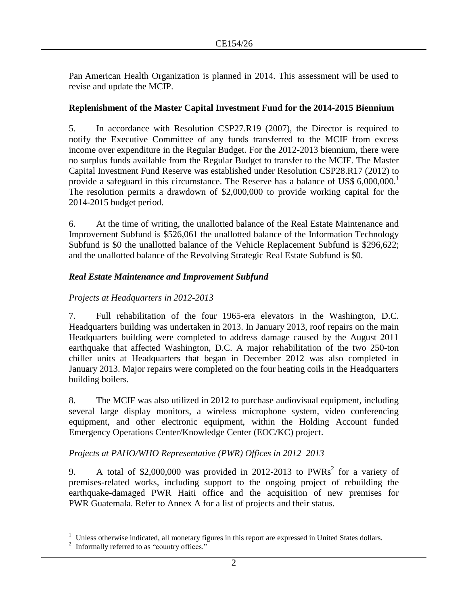Pan American Health Organization is planned in 2014. This assessment will be used to revise and update the MCIP.

#### **Replenishment of the Master Capital Investment Fund for the 2014-2015 Biennium**

5. In accordance with Resolution CSP27.R19 (2007), the Director is required to notify the Executive Committee of any funds transferred to the MCIF from excess income over expenditure in the Regular Budget. For the 2012-2013 biennium, there were no surplus funds available from the Regular Budget to transfer to the MCIF. The Master Capital Investment Fund Reserve was established under Resolution CSP28.R17 (2012) to provide a safeguard in this circumstance. The Reserve has a balance of US\$ 6,000,000.<sup>1</sup> The resolution permits a drawdown of \$2,000,000 to provide working capital for the 2014-2015 budget period.

6. At the time of writing, the unallotted balance of the Real Estate Maintenance and Improvement Subfund is \$526,061 the unallotted balance of the Information Technology Subfund is \$0 the unallotted balance of the Vehicle Replacement Subfund is \$296,622; and the unallotted balance of the Revolving Strategic Real Estate Subfund is \$0.

# *Real Estate Maintenance and Improvement Subfund*

# *Projects at Headquarters in 2012-2013*

7. Full rehabilitation of the four 1965-era elevators in the Washington, D.C. Headquarters building was undertaken in 2013. In January 2013, roof repairs on the main Headquarters building were completed to address damage caused by the August 2011 earthquake that affected Washington, D.C. A major rehabilitation of the two 250-ton chiller units at Headquarters that began in December 2012 was also completed in January 2013. Major repairs were completed on the four heating coils in the Headquarters building boilers.

8. The MCIF was also utilized in 2012 to purchase audiovisual equipment, including several large display monitors, a wireless microphone system, video conferencing equipment, and other electronic equipment, within the Holding Account funded Emergency Operations Center/Knowledge Center (EOC/KC) project.

# *Projects at PAHO/WHO Representative (PWR) Offices in 2012–2013*

9. A total of \$2,000,000 was provided in 2012-2013 to PWRs<sup>2</sup> for a variety of premises-related works, including support to the ongoing project of rebuilding the earthquake-damaged PWR Haiti office and the acquisition of new premises for PWR Guatemala. Refer to Annex A for a list of projects and their status.

 $\overline{a}$  $1$  Unless otherwise indicated, all monetary figures in this report are expressed in United States dollars.

<sup>&</sup>lt;sup>2</sup> Informally referred to as "country offices."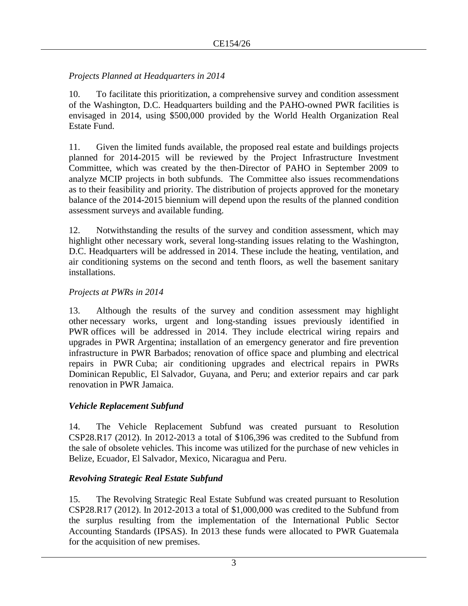# *Projects Planned at Headquarters in 2014*

10. To facilitate this prioritization, a comprehensive survey and condition assessment of the Washington, D.C. Headquarters building and the PAHO-owned PWR facilities is envisaged in 2014, using \$500,000 provided by the World Health Organization Real Estate Fund.

11. Given the limited funds available, the proposed real estate and buildings projects planned for 2014-2015 will be reviewed by the Project Infrastructure Investment Committee, which was created by the then-Director of PAHO in September 2009 to analyze MCIP projects in both subfunds. The Committee also issues recommendations as to their feasibility and priority. The distribution of projects approved for the monetary balance of the 2014-2015 biennium will depend upon the results of the planned condition assessment surveys and available funding.

12. Notwithstanding the results of the survey and condition assessment, which may highlight other necessary work, several long-standing issues relating to the Washington, D.C. Headquarters will be addressed in 2014. These include the heating, ventilation, and air conditioning systems on the second and tenth floors, as well the basement sanitary installations.

# *Projects at PWRs in 2014*

13. Although the results of the survey and condition assessment may highlight other necessary works, urgent and long-standing issues previously identified in PWR offices will be addressed in 2014. They include electrical wiring repairs and upgrades in PWR Argentina; installation of an emergency generator and fire prevention infrastructure in PWR Barbados; renovation of office space and plumbing and electrical repairs in PWR Cuba; air conditioning upgrades and electrical repairs in PWRs Dominican Republic, El Salvador, Guyana, and Peru; and exterior repairs and car park renovation in PWR Jamaica.

# *Vehicle Replacement Subfund*

14. The Vehicle Replacement Subfund was created pursuant to Resolution CSP28.R17 (2012). In 2012-2013 a total of \$106,396 was credited to the Subfund from the sale of obsolete vehicles. This income was utilized for the purchase of new vehicles in Belize, Ecuador, El Salvador, Mexico, Nicaragua and Peru.

# *Revolving Strategic Real Estate Subfund*

15. The Revolving Strategic Real Estate Subfund was created pursuant to Resolution CSP28.R17 (2012). In 2012-2013 a total of \$1,000,000 was credited to the Subfund from the surplus resulting from the implementation of the International Public Sector Accounting Standards (IPSAS). In 2013 these funds were allocated to PWR Guatemala for the acquisition of new premises.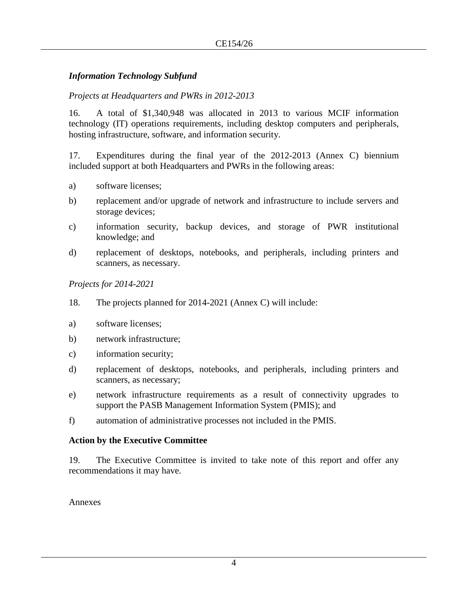#### *Information Technology Subfund*

#### *Projects at Headquarters and PWRs in 2012-2013*

16. A total of \$1,340,948 was allocated in 2013 to various MCIF information technology (IT) operations requirements, including desktop computers and peripherals, hosting infrastructure, software, and information security.

17. Expenditures during the final year of the 2012-2013 (Annex C) biennium included support at both Headquarters and PWRs in the following areas:

- a) software licenses;
- b) replacement and/or upgrade of network and infrastructure to include servers and storage devices;
- c) information security, backup devices, and storage of PWR institutional knowledge; and
- d) replacement of desktops, notebooks, and peripherals, including printers and scanners, as necessary.

*Projects for 2014-2021*

- 18. The projects planned for 2014-2021 (Annex C) will include:
- a) software licenses;
- b) network infrastructure;
- c) information security;
- d) replacement of desktops, notebooks, and peripherals, including printers and scanners, as necessary;
- e) network infrastructure requirements as a result of connectivity upgrades to support the PASB Management Information System (PMIS); and
- f) automation of administrative processes not included in the PMIS.

#### **Action by the Executive Committee**

19. The Executive Committee is invited to take note of this report and offer any recommendations it may have.

Annexes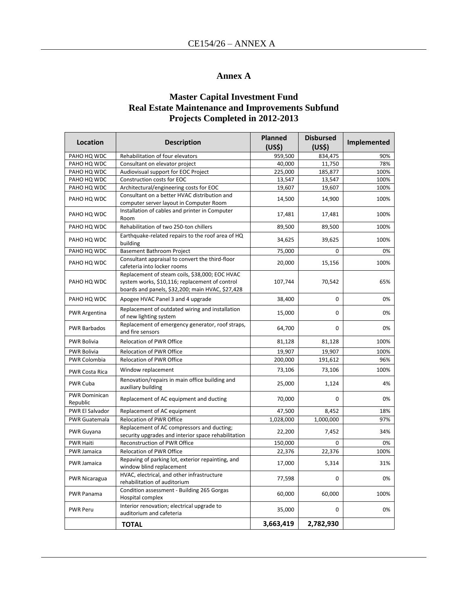#### **Annex A**

#### **Master Capital Investment Fund Real Estate Maintenance and Improvements Subfund Projects Completed in 2012-2013**

| Location                         | <b>Description</b>                                                                                                                                   | <b>Planned</b><br>(US <sub>5</sub> ) | <b>Disbursed</b><br>(US\$) | Implemented |
|----------------------------------|------------------------------------------------------------------------------------------------------------------------------------------------------|--------------------------------------|----------------------------|-------------|
| PAHO HQ WDC                      | Rehabilitation of four elevators                                                                                                                     | 959,500                              | 834,475                    | 90%         |
| PAHO HQ WDC                      | Consultant on elevator project                                                                                                                       | 40.000                               | 11,750                     | 78%         |
| PAHO HQ WDC                      | Audiovisual support for EOC Project                                                                                                                  | 225,000                              | 185,877                    | 100%        |
| PAHO HQ WDC                      | Construction costs for EOC                                                                                                                           | 13,547                               | 13,547                     | 100%        |
| PAHO HQ WDC                      | Architectural/engineering costs for EOC                                                                                                              | 19,607                               | 19,607                     | 100%        |
| PAHO HO WDC                      | Consultant on a better HVAC distribution and<br>computer server layout in Computer Room                                                              | 14,500                               | 14,900                     | 100%        |
| PAHO HQ WDC                      | Installation of cables and printer in Computer<br>Room                                                                                               | 17,481                               | 17,481                     | 100%        |
| PAHO HQ WDC                      | Rehabilitation of two 250-ton chillers                                                                                                               | 89,500                               | 89,500                     | 100%        |
| PAHO HQ WDC                      | Earthquake-related repairs to the roof area of HQ<br>building                                                                                        | 34,625                               | 39,625                     | 100%        |
| PAHO HQ WDC                      | Basement Bathroom Project                                                                                                                            | 75,000                               | 0                          | 0%          |
| PAHO HQ WDC                      | Consultant appraisal to convert the third-floor<br>cafeteria into locker rooms                                                                       | 20,000                               | 15,156                     | 100%        |
| PAHO HQ WDC                      | Replacement of steam coils, \$38,000; EOC HVAC<br>system works, \$10,116; replacement of control<br>boards and panels, \$32,200; main HVAC, \$27,428 | 107,744                              | 70,542                     | 65%         |
| PAHO HQ WDC                      | Apogee HVAC Panel 3 and 4 upgrade                                                                                                                    | 38,400                               | 0                          | 0%          |
| <b>PWR Argentina</b>             | Replacement of outdated wiring and installation<br>of new lighting system                                                                            | 15,000                               | 0                          | 0%          |
| <b>PWR Barbados</b>              | Replacement of emergency generator, roof straps,<br>and fire sensors                                                                                 | 64,700                               | 0                          | 0%          |
| <b>PWR Bolivia</b>               | <b>Relocation of PWR Office</b>                                                                                                                      | 81,128                               | 81,128                     | 100%        |
| <b>PWR Bolivia</b>               | <b>Relocation of PWR Office</b>                                                                                                                      | 19,907                               | 19,907                     | 100%        |
| <b>PWR Colombia</b>              | Relocation of PWR Office                                                                                                                             | 200,000                              | 191,612                    | 96%         |
| <b>PWR Costa Rica</b>            | Window replacement                                                                                                                                   | 73,106                               | 73,106                     | 100%        |
| PWR Cuba                         | Renovation/repairs in main office building and<br>auxiliary building                                                                                 | 25,000                               | 1,124                      | 4%          |
| <b>PWR Dominican</b><br>Republic | Replacement of AC equipment and ducting                                                                                                              | 70,000                               | 0                          | 0%          |
| PWR El Salvador                  | Replacement of AC equipment                                                                                                                          | 47,500                               | 8,452                      | 18%         |
| <b>PWR Guatemala</b>             | Relocation of PWR Office                                                                                                                             | 1,028,000                            | 1,000,000                  | 97%         |
| PWR Guyana                       | Replacement of AC compressors and ducting;<br>security upgrades and interior space rehabilitation                                                    | 22,200                               | 7,452                      | 34%         |
| <b>PWR Haiti</b>                 | Reconstruction of PWR Office                                                                                                                         | 150,000                              | 0                          | 0%          |
| <b>PWR Jamaica</b>               | Relocation of PWR Office                                                                                                                             | 22,376                               | 22,376                     | 100%        |
| <b>PWR Jamaica</b>               | Repaving of parking lot, exterior repainting, and<br>window blind replacement                                                                        | 17,000                               | 5,314                      | 31%         |
| <b>PWR Nicaragua</b>             | HVAC, electrical, and other infrastructure<br>rehabilitation of auditorium                                                                           | 77,598                               | $\Omega$                   | 0%          |
| <b>PWR Panama</b>                | Condition assessment - Building 265 Gorgas<br>Hospital complex                                                                                       | 60,000                               | 60,000                     | 100%        |
| <b>PWR Peru</b>                  | Interior renovation; electrical upgrade to<br>auditorium and cafeteria                                                                               | 35,000                               | $\Omega$                   | 0%          |
|                                  | <b>TOTAL</b>                                                                                                                                         | 3,663,419                            | 2,782,930                  |             |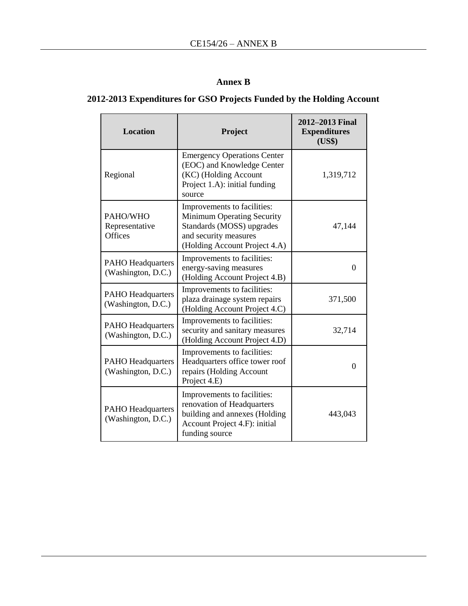# **Annex B**

# **2012-2013 Expenditures for GSO Projects Funded by the Holding Account**

| <b>Location</b>                                | Project                                                                                                                                          | 2012–2013 Final<br><b>Expenditures</b><br>(US\$) |  |
|------------------------------------------------|--------------------------------------------------------------------------------------------------------------------------------------------------|--------------------------------------------------|--|
| Regional                                       | <b>Emergency Operations Center</b><br>(EOC) and Knowledge Center<br>(KC) (Holding Account<br>Project 1.A): initial funding<br>source             | 1,319,712                                        |  |
| PAHO/WHO<br>Representative<br>Offices          | Improvements to facilities:<br>Minimum Operating Security<br>Standards (MOSS) upgrades<br>and security measures<br>(Holding Account Project 4.A) | 47,144                                           |  |
| <b>PAHO Headquarters</b><br>(Washington, D.C.) | Improvements to facilities:<br>energy-saving measures<br>(Holding Account Project 4.B)                                                           | 0                                                |  |
| <b>PAHO</b> Headquarters<br>(Washington, D.C.) | Improvements to facilities:<br>plaza drainage system repairs<br>(Holding Account Project 4.C)                                                    | 371,500                                          |  |
| <b>PAHO Headquarters</b><br>(Washington, D.C.) | Improvements to facilities:<br>security and sanitary measures<br>(Holding Account Project 4.D)                                                   | 32,714                                           |  |
| <b>PAHO Headquarters</b><br>(Washington, D.C.) | Improvements to facilities:<br>Headquarters office tower roof<br>repairs (Holding Account<br>Project 4.E)                                        | $\Omega$                                         |  |
| <b>PAHO</b> Headquarters<br>(Washington, D.C.) | Improvements to facilities:<br>renovation of Headquarters<br>building and annexes (Holding<br>Account Project 4.F): initial<br>funding source    | 443,043                                          |  |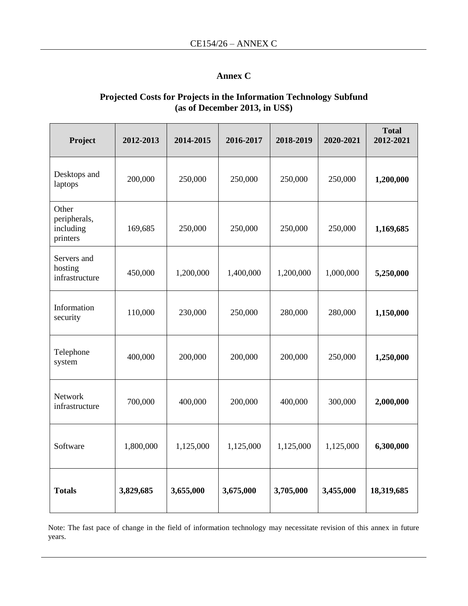## **Annex C**

#### **Projected Costs for Projects in the Information Technology Subfund (as of December 2013, in US\$)**

| Project                                        | 2012-2013 | 2014-2015 | 2016-2017 | 2018-2019 | 2020-2021 | <b>Total</b><br>2012-2021 |
|------------------------------------------------|-----------|-----------|-----------|-----------|-----------|---------------------------|
| Desktops and<br>laptops                        | 200,000   | 250,000   | 250,000   | 250,000   | 250,000   | 1,200,000                 |
| Other<br>peripherals,<br>including<br>printers | 169,685   | 250,000   | 250,000   | 250,000   | 250,000   | 1,169,685                 |
| Servers and<br>hosting<br>infrastructure       | 450,000   | 1,200,000 | 1,400,000 | 1,200,000 | 1,000,000 | 5,250,000                 |
| Information<br>security                        | 110,000   | 230,000   | 250,000   | 280,000   | 280,000   | 1,150,000                 |
| Telephone<br>system                            | 400,000   | 200,000   | 200,000   | 200,000   | 250,000   | 1,250,000                 |
| Network<br>infrastructure                      | 700,000   | 400,000   | 200,000   | 400,000   | 300,000   | 2,000,000                 |
| Software                                       | 1,800,000 | 1,125,000 | 1,125,000 | 1,125,000 | 1,125,000 | 6,300,000                 |
| <b>Totals</b>                                  | 3,829,685 | 3,655,000 | 3,675,000 | 3,705,000 | 3,455,000 | 18,319,685                |

Note: The fast pace of change in the field of information technology may necessitate revision of this annex in future years.